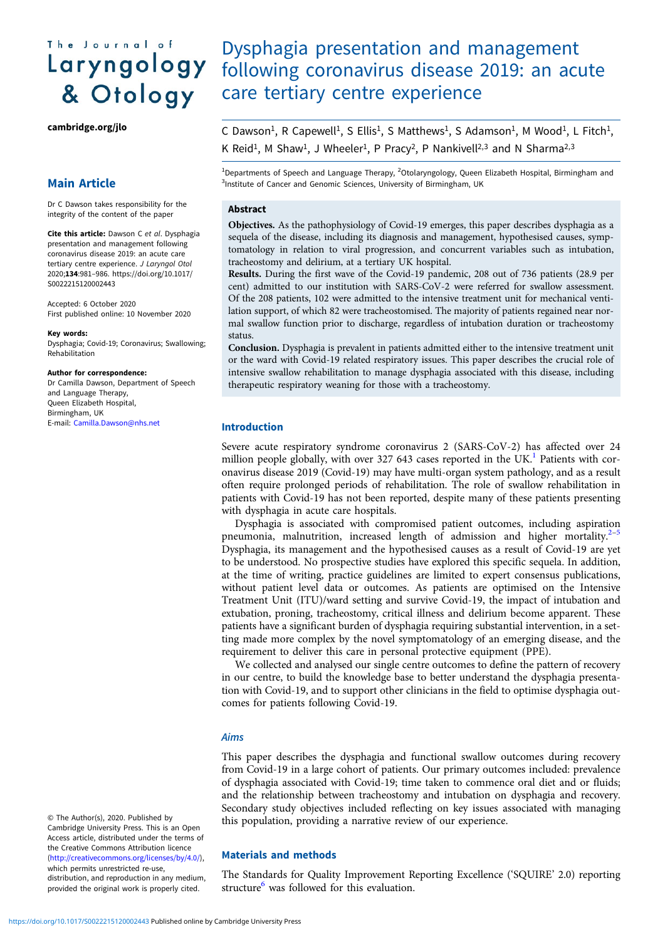# The Journal of Laryngology & Otology

[cambridge.org/jlo](https://www.cambridge.org/jlo)

### Main Article

Dr C Dawson takes responsibility for the integrity of the content of the paper

Cite this article: Dawson C et al. Dysphagia presentation and management following coronavirus disease 2019: an acute care tertiary centre experience. J Laryngol Otol 2020;134:981–986. [https://doi.org/10.1017/](https://doi.org/10.1017/S0022215120002443) [S0022215120002443](https://doi.org/10.1017/S0022215120002443)

Accepted: 6 October 2020 First published online: 10 November 2020

#### Key words:

Dysphagia; Covid-19; Coronavirus; Swallowing; Rehabilitation

#### Author for correspondence:

Dr Camilla Dawson, Department of Speech and Language Therapy, Queen Elizabeth Hospital, Birmingham, UK E-mail: [Camilla.Dawson@nhs.net](mailto:Camilla.Dawson@nhs.net)

## Dysphagia presentation and management following coronavirus disease 2019: an acute care tertiary centre experience

C Dawson<sup>1</sup>, R Capewell<sup>1</sup>, S Ellis<sup>1</sup>, S Matthews<sup>1</sup>, S Adamson<sup>1</sup>, M Wood<sup>1</sup>, L Fitch<sup>1</sup>, K Reid<sup>1</sup>, M Shaw<sup>1</sup>, J Wheeler<sup>1</sup>, P Pracy<sup>2</sup>, P Nankivell<sup>2,3</sup> and N Sharma<sup>2,3</sup>

<sup>1</sup>Departments of Speech and Language Therapy, <sup>2</sup>Otolaryngology, Queen Elizabeth Hospital, Birmingham and <sup>3</sup>Institute of Cancer and Genomic Sciences, University of Birmingham, UK

#### Abstract

Objectives. As the pathophysiology of Covid-19 emerges, this paper describes dysphagia as a sequela of the disease, including its diagnosis and management, hypothesised causes, symptomatology in relation to viral progression, and concurrent variables such as intubation, tracheostomy and delirium, at a tertiary UK hospital.

Results. During the first wave of the Covid-19 pandemic, 208 out of 736 patients (28.9 per cent) admitted to our institution with SARS-CoV-2 were referred for swallow assessment. Of the 208 patients, 102 were admitted to the intensive treatment unit for mechanical ventilation support, of which 82 were tracheostomised. The majority of patients regained near normal swallow function prior to discharge, regardless of intubation duration or tracheostomy status.

Conclusion. Dysphagia is prevalent in patients admitted either to the intensive treatment unit or the ward with Covid-19 related respiratory issues. This paper describes the crucial role of intensive swallow rehabilitation to manage dysphagia associated with this disease, including therapeutic respiratory weaning for those with a tracheostomy.

#### Introduction

Severe acute respiratory syndrome coronavirus 2 (SARS-CoV-2) has affected over 24 million people globally, with over 327 643 cases reported in the UK.<sup>[1](#page-5-0)</sup> Patients with coronavirus disease 2019 (Covid-19) may have multi-organ system pathology, and as a result often require prolonged periods of rehabilitation. The role of swallow rehabilitation in patients with Covid-19 has not been reported, despite many of these patients presenting with dysphagia in acute care hospitals.

Dysphagia is associated with compromised patient outcomes, including aspiration pneumonia, malnutrition, increased length of admission and higher mortality.<sup>[2](#page-5-0)–1</sup> Dysphagia, its management and the hypothesised causes as a result of Covid-19 are yet to be understood. No prospective studies have explored this specific sequela. In addition, at the time of writing, practice guidelines are limited to expert consensus publications, without patient level data or outcomes. As patients are optimised on the Intensive Treatment Unit (ITU)/ward setting and survive Covid-19, the impact of intubation and extubation, proning, tracheostomy, critical illness and delirium become apparent. These patients have a significant burden of dysphagia requiring substantial intervention, in a setting made more complex by the novel symptomatology of an emerging disease, and the requirement to deliver this care in personal protective equipment (PPE).

We collected and analysed our single centre outcomes to define the pattern of recovery in our centre, to build the knowledge base to better understand the dysphagia presentation with Covid-19, and to support other clinicians in the field to optimise dysphagia outcomes for patients following Covid-19.

#### Aims

This paper describes the dysphagia and functional swallow outcomes during recovery from Covid-19 in a large cohort of patients. Our primary outcomes included: prevalence of dysphagia associated with Covid-19; time taken to commence oral diet and or fluids; and the relationship between tracheostomy and intubation on dysphagia and recovery. Secondary study objectives included reflecting on key issues associated with managing this population, providing a narrative review of our experience.

#### Materials and methods

The Standards for Quality Improvement Reporting Excellence ('SQUIRE' 2.0) reporting structure<sup>[6](#page-5-0)</sup> was followed for this evaluation.

© The Author(s), 2020. Published by Cambridge University Press. This is an Open Access article, distributed under the terms of the Creative Commons Attribution licence ([http://creativecommons.org/licenses/by/4.0/\)](http://creativecommons.org/licenses/by/4.0/), which permits unrestricted re-use, distribution, and reproduction in any medium, provided the original work is properly cited.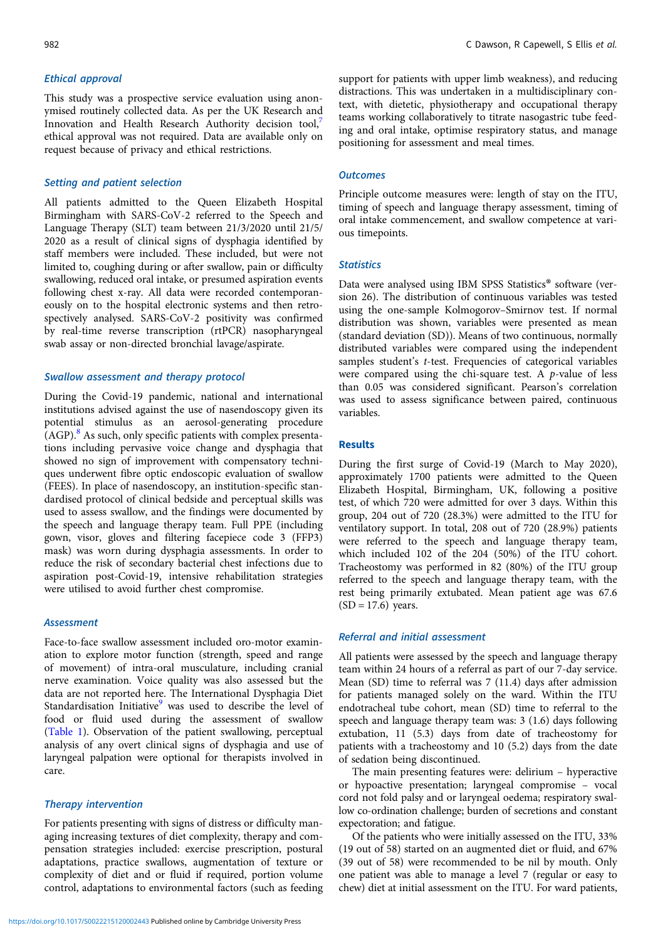#### Ethical approval

This study was a prospective service evaluation using anonymised routinely collected data. As per the UK Research and Innovation and Health Research Authority decision tool,<sup>[7](#page-5-0)</sup> ethical approval was not required. Data are available only on request because of privacy and ethical restrictions.

#### Setting and patient selection

All patients admitted to the Queen Elizabeth Hospital Birmingham with SARS-CoV-2 referred to the Speech and Language Therapy (SLT) team between 21/3/2020 until 21/5/ 2020 as a result of clinical signs of dysphagia identified by staff members were included. These included, but were not limited to, coughing during or after swallow, pain or difficulty swallowing, reduced oral intake, or presumed aspiration events following chest x-ray. All data were recorded contemporaneously on to the hospital electronic systems and then retrospectively analysed. SARS-CoV-2 positivity was confirmed by real-time reverse transcription (rtPCR) nasopharyngeal swab assay or non-directed bronchial lavage/aspirate.

#### Swallow assessment and therapy protocol

During the Covid-19 pandemic, national and international institutions advised against the use of nasendoscopy given its potential stimulus as an aerosol-generating procedure  $(AGP)$ .<sup>[8](#page-5-0)</sup> As such, only specific patients with complex presentations including pervasive voice change and dysphagia that showed no sign of improvement with compensatory techniques underwent fibre optic endoscopic evaluation of swallow (FEES). In place of nasendoscopy, an institution-specific standardised protocol of clinical bedside and perceptual skills was used to assess swallow, and the findings were documented by the speech and language therapy team. Full PPE (including gown, visor, gloves and filtering facepiece code 3 (FFP3) mask) was worn during dysphagia assessments. In order to reduce the risk of secondary bacterial chest infections due to aspiration post-Covid-19, intensive rehabilitation strategies were utilised to avoid further chest compromise.

#### **Assessment**

Face-to-face swallow assessment included oro-motor examination to explore motor function (strength, speed and range of movement) of intra-oral musculature, including cranial nerve examination. Voice quality was also assessed but the data are not reported here. The International Dysphagia Diet Standardisation Initiative<sup>9</sup> was used to describe the level of food or fluid used during the assessment of swallow [\(Table 1](#page-2-0)). Observation of the patient swallowing, perceptual analysis of any overt clinical signs of dysphagia and use of laryngeal palpation were optional for therapists involved in care.

#### Therapy intervention

For patients presenting with signs of distress or difficulty managing increasing textures of diet complexity, therapy and compensation strategies included: exercise prescription, postural adaptations, practice swallows, augmentation of texture or complexity of diet and or fluid if required, portion volume control, adaptations to environmental factors (such as feeding

support for patients with upper limb weakness), and reducing distractions. This was undertaken in a multidisciplinary context, with dietetic, physiotherapy and occupational therapy teams working collaboratively to titrate nasogastric tube feeding and oral intake, optimise respiratory status, and manage positioning for assessment and meal times.

#### **Outcomes**

Principle outcome measures were: length of stay on the ITU, timing of speech and language therapy assessment, timing of oral intake commencement, and swallow competence at various timepoints.

#### **Statistics**

Data were analysed using IBM SPSS Statistics® software (version 26). The distribution of continuous variables was tested using the one-sample Kolmogorov–Smirnov test. If normal distribution was shown, variables were presented as mean (standard deviation (SD)). Means of two continuous, normally distributed variables were compared using the independent samples student's t-test. Frequencies of categorical variables were compared using the chi-square test. A  $p$ -value of less than 0.05 was considered significant. Pearson's correlation was used to assess significance between paired, continuous variables.

#### Results

During the first surge of Covid-19 (March to May 2020), approximately 1700 patients were admitted to the Queen Elizabeth Hospital, Birmingham, UK, following a positive test, of which 720 were admitted for over 3 days. Within this group, 204 out of 720 (28.3%) were admitted to the ITU for ventilatory support. In total, 208 out of 720 (28.9%) patients were referred to the speech and language therapy team, which included 102 of the 204 (50%) of the ITU cohort. Tracheostomy was performed in 82 (80%) of the ITU group referred to the speech and language therapy team, with the rest being primarily extubated. Mean patient age was 67.6  $(SD = 17.6)$  years.

#### Referral and initial assessment

All patients were assessed by the speech and language therapy team within 24 hours of a referral as part of our 7-day service. Mean (SD) time to referral was 7 (11.4) days after admission for patients managed solely on the ward. Within the ITU endotracheal tube cohort, mean (SD) time to referral to the speech and language therapy team was: 3 (1.6) days following extubation, 11 (5.3) days from date of tracheostomy for patients with a tracheostomy and 10 (5.2) days from the date of sedation being discontinued.

The main presenting features were: delirium – hyperactive or hypoactive presentation; laryngeal compromise – vocal cord not fold palsy and or laryngeal oedema; respiratory swallow co-ordination challenge; burden of secretions and constant expectoration; and fatigue.

Of the patients who were initially assessed on the ITU, 33% (19 out of 58) started on an augmented diet or fluid, and 67% (39 out of 58) were recommended to be nil by mouth. Only one patient was able to manage a level 7 (regular or easy to chew) diet at initial assessment on the ITU. For ward patients,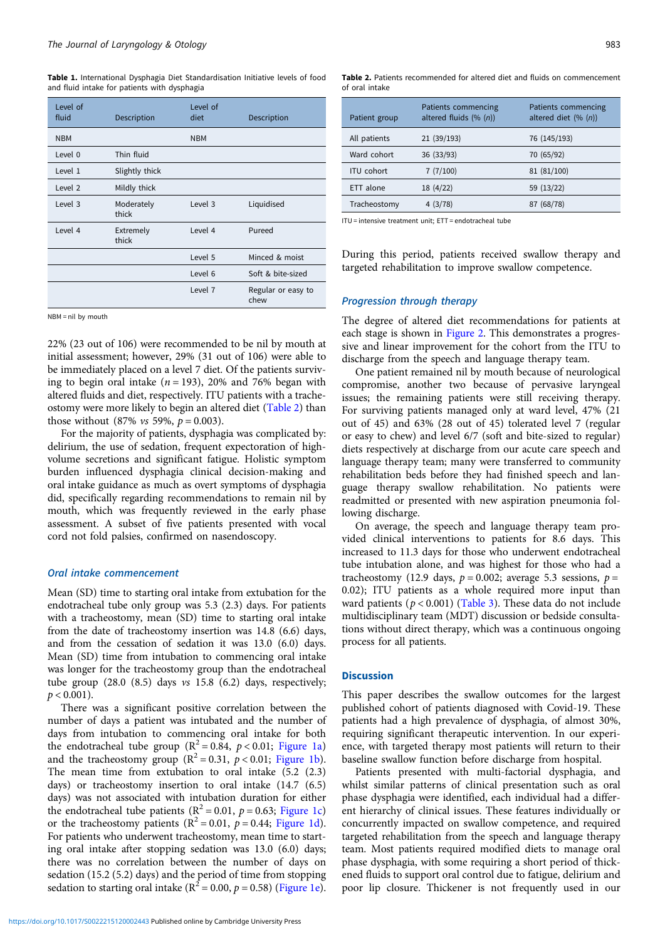<span id="page-2-0"></span>Table 1. International Dysphagia Diet Standardisation Initiative levels of food and fluid intake for patients with dysphagia

| Level of<br>fluid  | Description         | Level of<br>diet | Description                |
|--------------------|---------------------|------------------|----------------------------|
| <b>NBM</b>         |                     | <b>NBM</b>       |                            |
| Level 0            | Thin fluid          |                  |                            |
| Level 1            | Slightly thick      |                  |                            |
| Level <sub>2</sub> | Mildly thick        |                  |                            |
| Level 3            | Moderately<br>thick | Level 3          | Liquidised                 |
| Level 4            | Extremely<br>thick  | Level 4          | Pureed                     |
|                    |                     | Level 5          | Minced & moist             |
|                    |                     | Level 6          | Soft & bite-sized          |
|                    |                     | Level 7          | Regular or easy to<br>chew |

NBM = nil by mouth

22% (23 out of 106) were recommended to be nil by mouth at initial assessment; however, 29% (31 out of 106) were able to be immediately placed on a level 7 diet. Of the patients surviving to begin oral intake  $(n = 193)$ , 20% and 76% began with altered fluids and diet, respectively. ITU patients with a tracheostomy were more likely to begin an altered diet (Table 2) than those without (87% *vs* 59%,  $p = 0.003$ ).

For the majority of patients, dysphagia was complicated by: delirium, the use of sedation, frequent expectoration of highvolume secretions and significant fatigue. Holistic symptom burden influenced dysphagia clinical decision-making and oral intake guidance as much as overt symptoms of dysphagia did, specifically regarding recommendations to remain nil by mouth, which was frequently reviewed in the early phase assessment. A subset of five patients presented with vocal cord not fold palsies, confirmed on nasendoscopy.

#### Oral intake commencement

Mean (SD) time to starting oral intake from extubation for the endotracheal tube only group was 5.3 (2.3) days. For patients with a tracheostomy, mean (SD) time to starting oral intake from the date of tracheostomy insertion was 14.8 (6.6) days, and from the cessation of sedation it was 13.0 (6.0) days. Mean (SD) time from intubation to commencing oral intake was longer for the tracheostomy group than the endotracheal tube group  $(28.0 \ (8.5)$  days  $\nu s$  15.8  $(6.2)$  days, respectively;  $p < 0.001$ ).

There was a significant positive correlation between the number of days a patient was intubated and the number of days from intubation to commencing oral intake for both the endotracheal tube group ( $R^2 = 0.84$ ,  $p < 0.01$ ; [Figure 1a\)](#page-3-0) and the tracheostomy group ( $R^2 = 0.31$ ,  $p < 0.01$ ; [Figure 1b](#page-3-0)). The mean time from extubation to oral intake (5.2 (2.3) days) or tracheostomy insertion to oral intake (14.7 (6.5) days) was not associated with intubation duration for either the endotracheal tube patients ( $R^2 = 0.01$ ,  $p = 0.63$ ; [Figure 1c\)](#page-3-0) or the tracheostomy patients  $(R^2 = 0.01, p = 0.44;$  [Figure 1d](#page-3-0)). For patients who underwent tracheostomy, mean time to starting oral intake after stopping sedation was 13.0 (6.0) days; there was no correlation between the number of days on sedation (15.2 (5.2) days) and the period of time from stopping sedation to starting oral intake ( $R^2 = 0.00$ ,  $p = 0.58$ ) ([Figure 1e](#page-3-0)).

| Patient group     | Patients commencing<br>altered fluids $(\% (n))$ | Patients commencing<br>altered diet $(\% (n))$ |
|-------------------|--------------------------------------------------|------------------------------------------------|
| All patients      | 21 (39/193)                                      | 76 (145/193)                                   |
| Ward cohort       | 36 (33/93)                                       | 70 (65/92)                                     |
| <b>ITU</b> cohort | 7(7/100)                                         | 81 (81/100)                                    |
| ETT alone         | 18 (4/22)                                        | 59 (13/22)                                     |
| Tracheostomy      | 4(3/78)                                          | 87 (68/78)                                     |

Table 2. Patients recommended for altered diet and fluids on commencement

ITU = intensive treatment unit; ETT = endotracheal tube

During this period, patients received swallow therapy and targeted rehabilitation to improve swallow competence.

#### Progression through therapy

of oral intake

The degree of altered diet recommendations for patients at each stage is shown in [Figure 2.](#page-4-0) This demonstrates a progressive and linear improvement for the cohort from the ITU to discharge from the speech and language therapy team.

One patient remained nil by mouth because of neurological compromise, another two because of pervasive laryngeal issues; the remaining patients were still receiving therapy. For surviving patients managed only at ward level, 47% (21 out of 45) and 63% (28 out of 45) tolerated level 7 (regular or easy to chew) and level 6/7 (soft and bite-sized to regular) diets respectively at discharge from our acute care speech and language therapy team; many were transferred to community rehabilitation beds before they had finished speech and language therapy swallow rehabilitation. No patients were readmitted or presented with new aspiration pneumonia following discharge.

On average, the speech and language therapy team provided clinical interventions to patients for 8.6 days. This increased to 11.3 days for those who underwent endotracheal tube intubation alone, and was highest for those who had a tracheostomy (12.9 days,  $p = 0.002$ ; average 5.3 sessions,  $p =$ 0.02); ITU patients as a whole required more input than ward patients ( $p < 0.001$ ) ([Table 3](#page-4-0)). These data do not include multidisciplinary team (MDT) discussion or bedside consultations without direct therapy, which was a continuous ongoing process for all patients.

#### **Discussion**

This paper describes the swallow outcomes for the largest published cohort of patients diagnosed with Covid-19. These patients had a high prevalence of dysphagia, of almost 30%, requiring significant therapeutic intervention. In our experience, with targeted therapy most patients will return to their baseline swallow function before discharge from hospital.

Patients presented with multi-factorial dysphagia, and whilst similar patterns of clinical presentation such as oral phase dysphagia were identified, each individual had a different hierarchy of clinical issues. These features individually or concurrently impacted on swallow competence, and required targeted rehabilitation from the speech and language therapy team. Most patients required modified diets to manage oral phase dysphagia, with some requiring a short period of thickened fluids to support oral control due to fatigue, delirium and poor lip closure. Thickener is not frequently used in our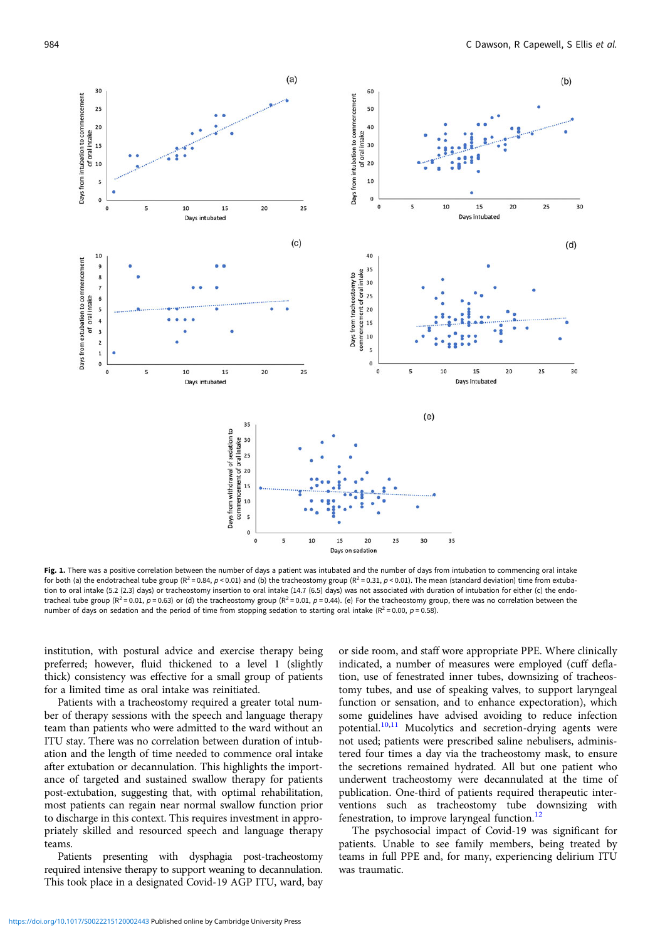<span id="page-3-0"></span>

Fig. 1. There was a positive correlation between the number of days a patient was intubated and the number of days from intubation to commencing oral intake for both (a) the endotracheal tube group ( $R^2 = 0.84$ ,  $p < 0.01$ ) and (b) the tracheostomy group ( $R^2 = 0.31$ ,  $p < 0.01$ ). The mean (standard deviation) time from extubation to oral intake (5.2 (2.3) days) or tracheostomy insertion to oral intake (14.7 (6.5) days) was not associated with duration of intubation for either (c) the endotracheal tube group ( $R^2 = 0.01$ ,  $p = 0.63$ ) or (d) the tracheostomy group ( $R^2 = 0.01$ ,  $p = 0.44$ ). (e) For the tracheostomy group, there was no correlation between the number of days on sedation and the period of time from stopping sedation to starting oral intake ( $R^2$  = 0.00,  $p$  = 0.58).

institution, with postural advice and exercise therapy being preferred; however, fluid thickened to a level 1 (slightly thick) consistency was effective for a small group of patients for a limited time as oral intake was reinitiated.

Patients with a tracheostomy required a greater total number of therapy sessions with the speech and language therapy team than patients who were admitted to the ward without an ITU stay. There was no correlation between duration of intubation and the length of time needed to commence oral intake after extubation or decannulation. This highlights the importance of targeted and sustained swallow therapy for patients post-extubation, suggesting that, with optimal rehabilitation, most patients can regain near normal swallow function prior to discharge in this context. This requires investment in appropriately skilled and resourced speech and language therapy teams.

Patients presenting with dysphagia post-tracheostomy required intensive therapy to support weaning to decannulation. This took place in a designated Covid-19 AGP ITU, ward, bay or side room, and staff wore appropriate PPE. Where clinically indicated, a number of measures were employed (cuff deflation, use of fenestrated inner tubes, downsizing of tracheostomy tubes, and use of speaking valves, to support laryngeal function or sensation, and to enhance expectoration), which some guidelines have advised avoiding to reduce infection potential.<sup>[10](#page-5-0),[11](#page-5-0)</sup> Mucolytics and secretion-drying agents were not used; patients were prescribed saline nebulisers, administered four times a day via the tracheostomy mask, to ensure the secretions remained hydrated. All but one patient who underwent tracheostomy were decannulated at the time of publication. One-third of patients required therapeutic interventions such as tracheostomy tube downsizing with fenestration, to improve laryngeal function.<sup>[12](#page-5-0)</sup>

The psychosocial impact of Covid-19 was significant for patients. Unable to see family members, being treated by teams in full PPE and, for many, experiencing delirium ITU was traumatic.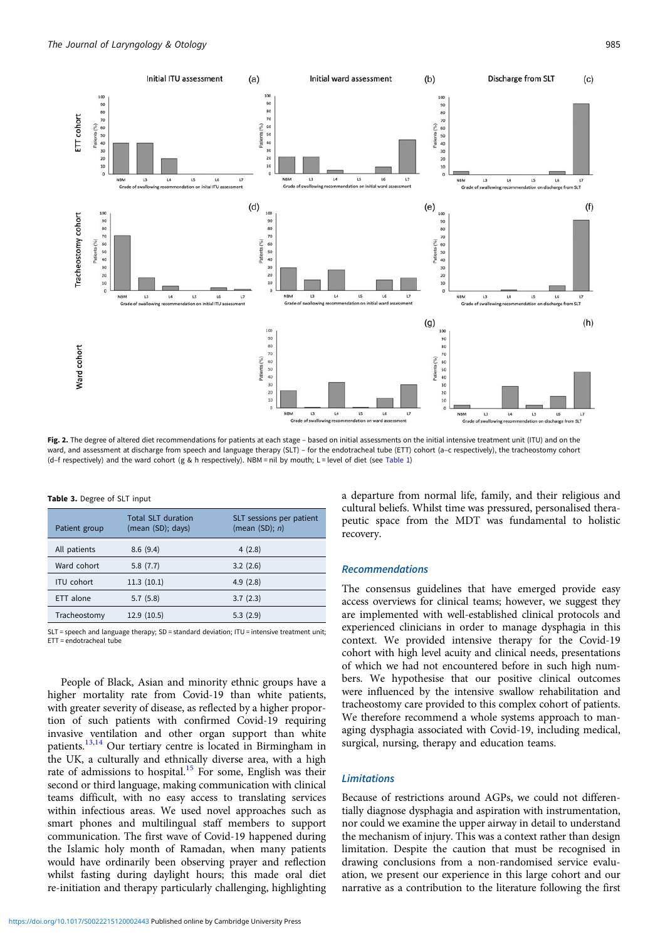<span id="page-4-0"></span>

Fig. 2. The degree of altered diet recommendations for patients at each stage – based on initial assessments on the initial intensive treatment unit (ITU) and on the ward, and assessment at discharge from speech and language therapy (SLT) - for the endotracheal tube (ETT) cohort (a-c respectively), the tracheostomy cohort (d-f respectively) and the ward cohort (g & h respectively). NBM = nil by mouth; L = level of diet (see [Table 1](#page-2-0))

| Patient group     | <b>Total SLT duration</b><br>(mean (SD); days) | SLT sessions per patient<br>(mean $(SD)$ ; n) |
|-------------------|------------------------------------------------|-----------------------------------------------|
| All patients      | 8.6(9.4)                                       | 4(2.8)                                        |
| Ward cohort       | 5.8(7.7)                                       | 3.2(2.6)                                      |
| <b>ITU</b> cohort | 11.3(10.1)                                     | 4.9(2.8)                                      |
| ETT alone         | 5.7(5.8)                                       | 3.7(2.3)                                      |
| Tracheostomy      | 12.9(10.5)                                     | 5.3(2.9)                                      |

Table 3. Degree of SLT input

SLT = speech and language therapy; SD = standard deviation; ITU = intensive treatment unit; ETT = endotracheal tube

People of Black, Asian and minority ethnic groups have a higher mortality rate from Covid-19 than white patients, with greater severity of disease, as reflected by a higher proportion of such patients with confirmed Covid-19 requiring invasive ventilation and other organ support than white patients.<sup>[13](#page-5-0),[14](#page-5-0)</sup> Our tertiary centre is located in Birmingham in the UK, a culturally and ethnically diverse area, with a high rate of admissions to hospital.<sup>[15](#page-5-0)</sup> For some, English was their second or third language, making communication with clinical teams difficult, with no easy access to translating services within infectious areas. We used novel approaches such as smart phones and multilingual staff members to support communication. The first wave of Covid-19 happened during the Islamic holy month of Ramadan, when many patients would have ordinarily been observing prayer and reflection whilst fasting during daylight hours; this made oral diet re-initiation and therapy particularly challenging, highlighting a departure from normal life, family, and their religious and cultural beliefs. Whilst time was pressured, personalised therapeutic space from the MDT was fundamental to holistic recovery.

#### Recommendations

The consensus guidelines that have emerged provide easy access overviews for clinical teams; however, we suggest they are implemented with well-established clinical protocols and experienced clinicians in order to manage dysphagia in this context. We provided intensive therapy for the Covid-19 cohort with high level acuity and clinical needs, presentations of which we had not encountered before in such high numbers. We hypothesise that our positive clinical outcomes were influenced by the intensive swallow rehabilitation and tracheostomy care provided to this complex cohort of patients. We therefore recommend a whole systems approach to managing dysphagia associated with Covid-19, including medical, surgical, nursing, therapy and education teams.

#### **Limitations**

Because of restrictions around AGPs, we could not differentially diagnose dysphagia and aspiration with instrumentation, nor could we examine the upper airway in detail to understand the mechanism of injury. This was a context rather than design limitation. Despite the caution that must be recognised in drawing conclusions from a non-randomised service evaluation, we present our experience in this large cohort and our narrative as a contribution to the literature following the first